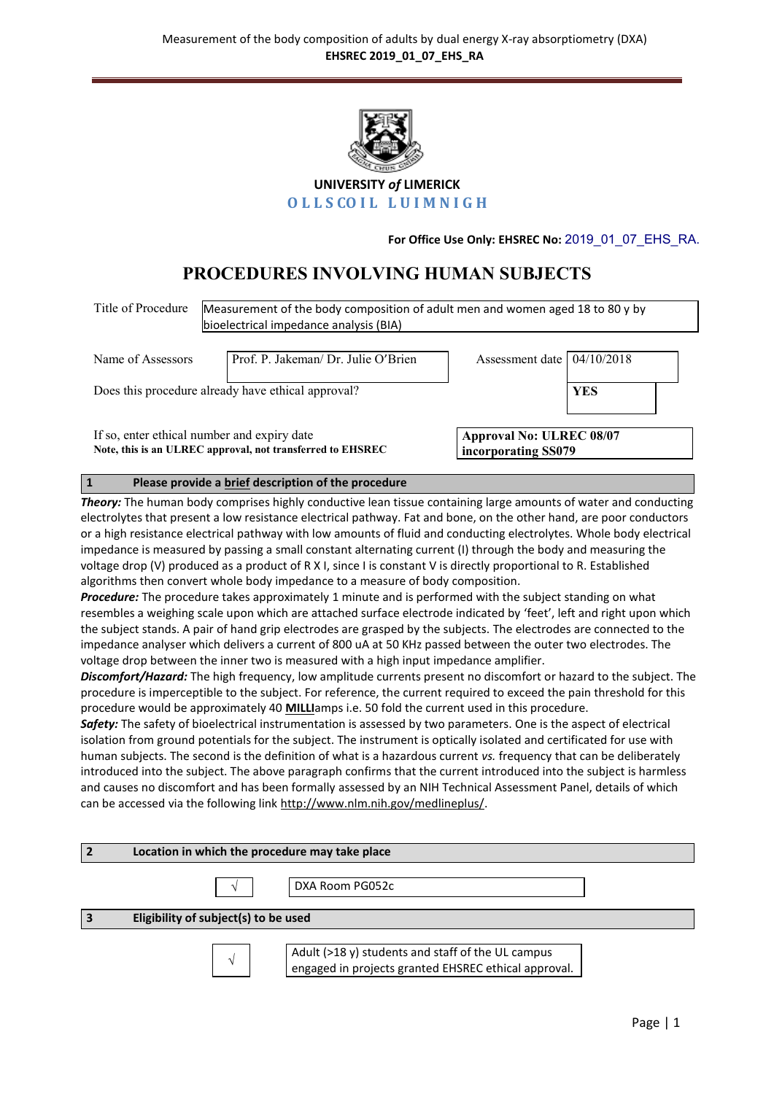

**UNIVERSITY** *of* **LIMERICK OLLSCOIL LUIMNIGH** 

**For Office Use Only: EHSREC No:** 2019\_01\_07\_EHS\_RA.

# **PROCEDURES INVOLVING HUMAN SUBJECTS**

| Title of Procedure                                                                                                                                                                                                                                                                                                                                                                                                                                                                                                                                                                                                                                                                                                                                                                                                                                                                                                                                                                                                                                                                                                                                                                                                                                                                                                                                                                                                                                                                                                                                                                                                                                                                                                                                                                                                                                                                                                                                                                                                                                                                                                                                                                                                                                                                                 |   | Measurement of the body composition of adult men and women aged 18 to 80 y by<br>bioelectrical impedance analysis (BIA) |  |                                                        |            |  |  |
|----------------------------------------------------------------------------------------------------------------------------------------------------------------------------------------------------------------------------------------------------------------------------------------------------------------------------------------------------------------------------------------------------------------------------------------------------------------------------------------------------------------------------------------------------------------------------------------------------------------------------------------------------------------------------------------------------------------------------------------------------------------------------------------------------------------------------------------------------------------------------------------------------------------------------------------------------------------------------------------------------------------------------------------------------------------------------------------------------------------------------------------------------------------------------------------------------------------------------------------------------------------------------------------------------------------------------------------------------------------------------------------------------------------------------------------------------------------------------------------------------------------------------------------------------------------------------------------------------------------------------------------------------------------------------------------------------------------------------------------------------------------------------------------------------------------------------------------------------------------------------------------------------------------------------------------------------------------------------------------------------------------------------------------------------------------------------------------------------------------------------------------------------------------------------------------------------------------------------------------------------------------------------------------------------|---|-------------------------------------------------------------------------------------------------------------------------|--|--------------------------------------------------------|------------|--|--|
| Name of Assessors                                                                                                                                                                                                                                                                                                                                                                                                                                                                                                                                                                                                                                                                                                                                                                                                                                                                                                                                                                                                                                                                                                                                                                                                                                                                                                                                                                                                                                                                                                                                                                                                                                                                                                                                                                                                                                                                                                                                                                                                                                                                                                                                                                                                                                                                                  |   | Prof. P. Jakeman/ Dr. Julie O'Brien                                                                                     |  | Assessment date                                        | 04/10/2018 |  |  |
| Does this procedure already have ethical approval?                                                                                                                                                                                                                                                                                                                                                                                                                                                                                                                                                                                                                                                                                                                                                                                                                                                                                                                                                                                                                                                                                                                                                                                                                                                                                                                                                                                                                                                                                                                                                                                                                                                                                                                                                                                                                                                                                                                                                                                                                                                                                                                                                                                                                                                 |   |                                                                                                                         |  |                                                        | <b>YES</b> |  |  |
| If so, enter ethical number and expiry date<br>Note, this is an ULREC approval, not transferred to EHSREC                                                                                                                                                                                                                                                                                                                                                                                                                                                                                                                                                                                                                                                                                                                                                                                                                                                                                                                                                                                                                                                                                                                                                                                                                                                                                                                                                                                                                                                                                                                                                                                                                                                                                                                                                                                                                                                                                                                                                                                                                                                                                                                                                                                          |   |                                                                                                                         |  | <b>Approval No: ULREC 08/07</b><br>incorporating SS079 |            |  |  |
| $\vert$ 1                                                                                                                                                                                                                                                                                                                                                                                                                                                                                                                                                                                                                                                                                                                                                                                                                                                                                                                                                                                                                                                                                                                                                                                                                                                                                                                                                                                                                                                                                                                                                                                                                                                                                                                                                                                                                                                                                                                                                                                                                                                                                                                                                                                                                                                                                          |   | Please provide a brief description of the procedure                                                                     |  |                                                        |            |  |  |
| Theory: The human body comprises highly conductive lean tissue containing large amounts of water and conducting<br>electrolytes that present a low resistance electrical pathway. Fat and bone, on the other hand, are poor conductors<br>or a high resistance electrical pathway with low amounts of fluid and conducting electrolytes. Whole body electrical<br>impedance is measured by passing a small constant alternating current (I) through the body and measuring the<br>voltage drop (V) produced as a product of R X I, since I is constant V is directly proportional to R. Established<br>algorithms then convert whole body impedance to a measure of body composition.<br>Procedure: The procedure takes approximately 1 minute and is performed with the subject standing on what<br>resembles a weighing scale upon which are attached surface electrode indicated by 'feet', left and right upon which<br>the subject stands. A pair of hand grip electrodes are grasped by the subjects. The electrodes are connected to the<br>impedance analyser which delivers a current of 800 uA at 50 KHz passed between the outer two electrodes. The<br>voltage drop between the inner two is measured with a high input impedance amplifier.<br>Discomfort/Hazard: The high frequency, low amplitude currents present no discomfort or hazard to the subject. The<br>procedure is imperceptible to the subject. For reference, the current required to exceed the pain threshold for this<br>procedure would be approximately 40 MILLIamps i.e. 50 fold the current used in this procedure.<br>Safety: The safety of bioelectrical instrumentation is assessed by two parameters. One is the aspect of electrical<br>isolation from ground potentials for the subject. The instrument is optically isolated and certificated for use with<br>human subjects. The second is the definition of what is a hazardous current vs. frequency that can be deliberately<br>introduced into the subject. The above paragraph confirms that the current introduced into the subject is harmless<br>and causes no discomfort and has been formally assessed by an NIH Technical Assessment Panel, details of which<br>can be accessed via the following link http://www.nlm.nih.gov/medlineplus/. |   |                                                                                                                         |  |                                                        |            |  |  |
| $\overline{2}$<br>Location in which the procedure may take place                                                                                                                                                                                                                                                                                                                                                                                                                                                                                                                                                                                                                                                                                                                                                                                                                                                                                                                                                                                                                                                                                                                                                                                                                                                                                                                                                                                                                                                                                                                                                                                                                                                                                                                                                                                                                                                                                                                                                                                                                                                                                                                                                                                                                                   |   |                                                                                                                         |  |                                                        |            |  |  |
|                                                                                                                                                                                                                                                                                                                                                                                                                                                                                                                                                                                                                                                                                                                                                                                                                                                                                                                                                                                                                                                                                                                                                                                                                                                                                                                                                                                                                                                                                                                                                                                                                                                                                                                                                                                                                                                                                                                                                                                                                                                                                                                                                                                                                                                                                                    | V | DXA Room PG052c                                                                                                         |  |                                                        |            |  |  |

**3 Eligibility of subject(s) to be used**

 $\sqrt{ }$ 

Adult (>18 y) students and staff of the UL campus engaged in projects granted EHSREC ethical approval.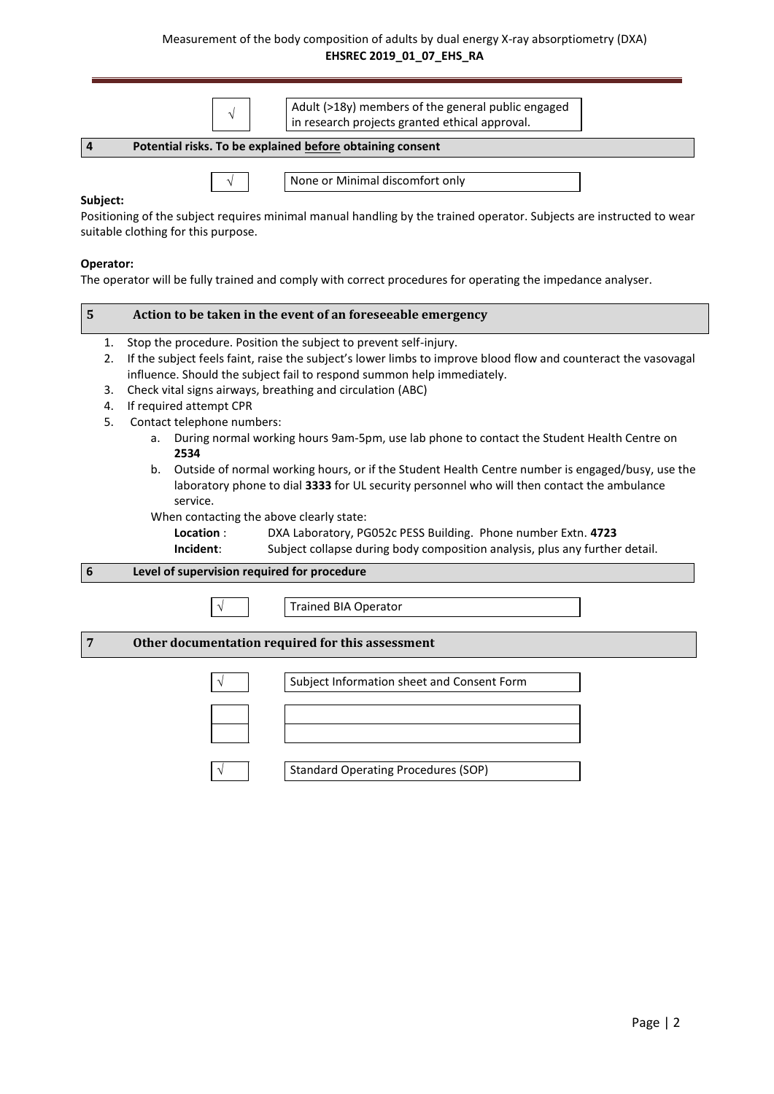## Measurement of the body composition of adults by dual energy X-ray absorptiometry (DXA) **EHSREC 2019\_01\_07\_EHS\_RA**

|                                                                                                                                                                                                                                                                                                                                                                                                                                                                                                                                                                                                                                                                                                                                                                                                                                                                                                                                                                          | $\sqrt{}$                                   | Adult (>18y) members of the general public engaged<br>in research projects granted ethical approval.                                                    |  |  |  |  |  |  |
|--------------------------------------------------------------------------------------------------------------------------------------------------------------------------------------------------------------------------------------------------------------------------------------------------------------------------------------------------------------------------------------------------------------------------------------------------------------------------------------------------------------------------------------------------------------------------------------------------------------------------------------------------------------------------------------------------------------------------------------------------------------------------------------------------------------------------------------------------------------------------------------------------------------------------------------------------------------------------|---------------------------------------------|---------------------------------------------------------------------------------------------------------------------------------------------------------|--|--|--|--|--|--|
| $\overline{\mathbf{4}}$<br>Potential risks. To be explained before obtaining consent                                                                                                                                                                                                                                                                                                                                                                                                                                                                                                                                                                                                                                                                                                                                                                                                                                                                                     |                                             |                                                                                                                                                         |  |  |  |  |  |  |
| Subject:                                                                                                                                                                                                                                                                                                                                                                                                                                                                                                                                                                                                                                                                                                                                                                                                                                                                                                                                                                 | suitable clothing for this purpose.         | None or Minimal discomfort only<br>Positioning of the subject requires minimal manual handling by the trained operator. Subjects are instructed to wear |  |  |  |  |  |  |
| Operator:                                                                                                                                                                                                                                                                                                                                                                                                                                                                                                                                                                                                                                                                                                                                                                                                                                                                                                                                                                |                                             | The operator will be fully trained and comply with correct procedures for operating the impedance analyser.                                             |  |  |  |  |  |  |
| $5\phantom{1}$<br>Action to be taken in the event of an foreseeable emergency                                                                                                                                                                                                                                                                                                                                                                                                                                                                                                                                                                                                                                                                                                                                                                                                                                                                                            |                                             |                                                                                                                                                         |  |  |  |  |  |  |
| Stop the procedure. Position the subject to prevent self-injury.<br>1.<br>If the subject feels faint, raise the subject's lower limbs to improve blood flow and counteract the vasovagal<br>2.<br>influence. Should the subject fail to respond summon help immediately.<br>Check vital signs airways, breathing and circulation (ABC)<br>3.<br>If required attempt CPR<br>4.<br>Contact telephone numbers:<br>5.<br>During normal working hours 9am-5pm, use lab phone to contact the Student Health Centre on<br>a.<br>2534<br>Outside of normal working hours, or if the Student Health Centre number is engaged/busy, use the<br>b.<br>laboratory phone to dial 3333 for UL security personnel who will then contact the ambulance<br>service.<br>When contacting the above clearly state:<br>Location:<br>DXA Laboratory, PG052c PESS Building. Phone number Extn. 4723<br>Subject collapse during body composition analysis, plus any further detail.<br>Incident: |                                             |                                                                                                                                                         |  |  |  |  |  |  |
| $\boldsymbol{6}$                                                                                                                                                                                                                                                                                                                                                                                                                                                                                                                                                                                                                                                                                                                                                                                                                                                                                                                                                         | Level of supervision required for procedure |                                                                                                                                                         |  |  |  |  |  |  |
|                                                                                                                                                                                                                                                                                                                                                                                                                                                                                                                                                                                                                                                                                                                                                                                                                                                                                                                                                                          |                                             | <b>Trained BIA Operator</b>                                                                                                                             |  |  |  |  |  |  |
| 7                                                                                                                                                                                                                                                                                                                                                                                                                                                                                                                                                                                                                                                                                                                                                                                                                                                                                                                                                                        |                                             | Other documentation required for this assessment                                                                                                        |  |  |  |  |  |  |
|                                                                                                                                                                                                                                                                                                                                                                                                                                                                                                                                                                                                                                                                                                                                                                                                                                                                                                                                                                          |                                             | Subject Information sheet and Consent Form                                                                                                              |  |  |  |  |  |  |
|                                                                                                                                                                                                                                                                                                                                                                                                                                                                                                                                                                                                                                                                                                                                                                                                                                                                                                                                                                          |                                             | <b>Standard Operating Procedures (SOP)</b>                                                                                                              |  |  |  |  |  |  |
|                                                                                                                                                                                                                                                                                                                                                                                                                                                                                                                                                                                                                                                                                                                                                                                                                                                                                                                                                                          |                                             |                                                                                                                                                         |  |  |  |  |  |  |